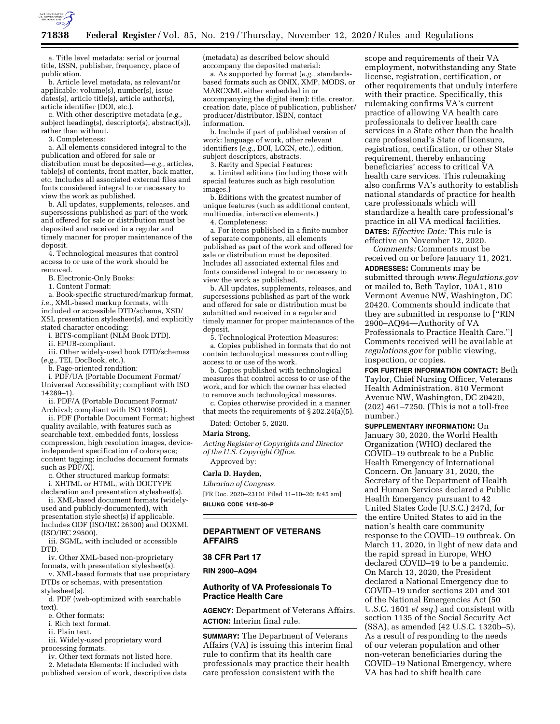

a. Title level metadata: serial or journal title, ISSN, publisher, frequency, place of publication.

b. Article level metadata, as relevant/or applicable: volume(s), number(s), issue dates(s), article title(s), article author(s), article identifier (DOI, etc.).

c. With other descriptive metadata (*e.g.,*  subject heading(s), descriptor(s), abstract(s)), rather than without.

3. Completeness:

a. All elements considered integral to the publication and offered for sale or distribution must be deposited—*e.g.,* articles, table(s) of contents, front matter, back matter, etc. Includes all associated external files and fonts considered integral to or necessary to view the work as published.

b. All updates, supplements, releases, and supersessions published as part of the work and offered for sale or distribution must be deposited and received in a regular and timely manner for proper maintenance of the deposit.

4. Technological measures that control access to or use of the work should be removed.

B. Electronic-Only Books:

1. Content Format:

a. Book-specific structured/markup format, *i.e.,* XML-based markup formats, with included or accessible DTD/schema, XSD/ XSL presentation stylesheet(s), and explicitly stated character encoding:

i. BITS-compliant (NLM Book DTD).

ii. EPUB-compliant.

iii. Other widely-used book DTD/schemas (*e.g.,* TEI, DocBook, etc.).

b. Page-oriented rendition:

i. PDF/UA (Portable Document Format/ Universal Accessibility; compliant with ISO 14289–1).

ii. PDF/A (Portable Document Format/ Archival; compliant with ISO 19005).

ii. PDF (Portable Document Format; highest quality available, with features such as searchable text, embedded fonts, lossless compression, high resolution images, deviceindependent specification of colorspace; content tagging; includes document formats such as PDF/X).

c. Other structured markup formats: i. XHTML or HTML, with DOCTYPE

declaration and presentation stylesheet(s). ii. XML-based document formats (widelyused and publicly-documented), with presentation style sheet(s) if applicable.

Includes ODF (ISO/IEC 26300) and OOXML (ISO/IEC 29500). iii. SGML, with included or accessible

DTD. iv. Other XML-based non-proprietary

formats, with presentation stylesheet(s).

v. XML-based formats that use proprietary DTDs or schemas, with presentation stylesheet(s).

d. PDF (web-optimized with searchable text).

e. Other formats:

i. Rich text format.

ii. Plain text.

iii. Widely-used proprietary word processing formats.

iv. Other text formats not listed here.

2. Metadata Elements: If included with published version of work, descriptive data (metadata) as described below should accompany the deposited material:

a. As supported by format (*e.g.,* standardsbased formats such as ONIX, XMP, MODS, or MARCXML either embedded in or accompanying the digital item): title, creator, creation date, place of publication, publisher/ producer/distributor, ISBN, contact information.

b. Include if part of published version of work: language of work, other relevant identifiers (*e.g.,* DOI, LCCN, etc.), edition, subject descriptors, abstracts.

3. Rarity and Special Features:

a. Limited editions (including those with special features such as high resolution images.)

b. Editions with the greatest number of unique features (such as additional content, multimedia, interactive elements.)

4. Completeness:

a. For items published in a finite number of separate components, all elements published as part of the work and offered for sale or distribution must be deposited. Includes all associated external files and fonts considered integral to or necessary to view the work as published.

b. All updates, supplements, releases, and supersessions published as part of the work and offered for sale or distribution must be submitted and received in a regular and timely manner for proper maintenance of the deposit.

5. Technological Protection Measures: a. Copies published in formats that do not contain technological measures controlling access to or use of the work.

b. Copies published with technological measures that control access to or use of the work, and for which the owner has elected to remove such technological measures.

c. Copies otherwise provided in a manner that meets the requirements of  $\S 202.24(a)(5)$ .

Dated: October 5, 2020.

#### **Maria Strong,**

*Acting Register of Copyrights and Director of the U.S. Copyright Office.*  Approved by:

# **Carla D. Hayden,**

*Librarian of Congress.*  [FR Doc. 2020–23101 Filed 11–10–20; 8:45 am]

**BILLING CODE 1410–30–P** 

# **DEPARTMENT OF VETERANS AFFAIRS**

**38 CFR Part 17** 

**RIN 2900–AQ94** 

# **Authority of VA Professionals To Practice Health Care**

**AGENCY:** Department of Veterans Affairs. **ACTION:** Interim final rule.

**SUMMARY:** The Department of Veterans Affairs (VA) is issuing this interim final rule to confirm that its health care professionals may practice their health care profession consistent with the

scope and requirements of their VA employment, notwithstanding any State license, registration, certification, or other requirements that unduly interfere with their practice. Specifically, this rulemaking confirms VA's current practice of allowing VA health care professionals to deliver health care services in a State other than the health care professional's State of licensure, registration, certification, or other State requirement, thereby enhancing beneficiaries' access to critical VA health care services. This rulemaking also confirms VA's authority to establish national standards of practice for health care professionals which will standardize a health care professional's practice in all VA medical facilities. **DATES:** *Effective Date:* This rule is

effective on November 12, 2020.

*Comments:* Comments must be received on or before January 11, 2021. **ADDRESSES:** Comments may be submitted through *[www.Regulations.gov](http://www.Regulations.gov)*  or mailed to, Beth Taylor, 10A1, 810 Vermont Avenue NW, Washington, DC 20420. Comments should indicate that they are submitted in response to [''RIN 2900–AQ94—Authority of VA Professionals to Practice Health Care.''] Comments received will be available at *regulations.gov* for public viewing, inspection, or copies.

**FOR FURTHER INFORMATION CONTACT:** Beth Taylor, Chief Nursing Officer, Veterans Health Administration. 810 Vermont Avenue NW, Washington, DC 20420, (202) 461–7250. (This is not a toll-free number.)

**SUPPLEMENTARY INFORMATION:** On January 30, 2020, the World Health Organization (WHO) declared the COVID–19 outbreak to be a Public Health Emergency of International Concern. On January 31, 2020, the Secretary of the Department of Health and Human Services declared a Public Health Emergency pursuant to 42 United States Code (U.S.C.) 247d, for the entire United States to aid in the nation's health care community response to the COVID–19 outbreak. On March 11, 2020, in light of new data and the rapid spread in Europe, WHO declared COVID–19 to be a pandemic. On March 13, 2020, the President declared a National Emergency due to COVID–19 under sections 201 and 301 of the National Emergencies Act (50 U.S.C. 1601 *et seq.*) and consistent with section 1135 of the Social Security Act (SSA), as amended (42 U.S.C. 1320b–5). As a result of responding to the needs of our veteran population and other non-veteran beneficiaries during the COVID–19 National Emergency, where VA has had to shift health care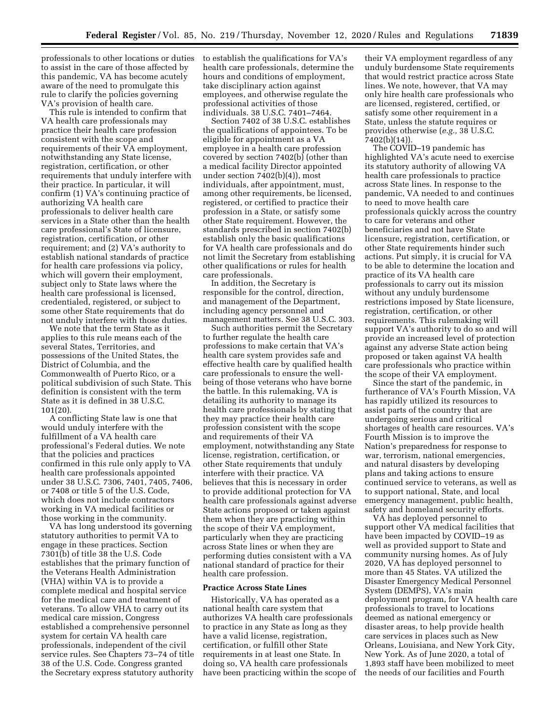professionals to other locations or duties to assist in the care of those affected by this pandemic, VA has become acutely aware of the need to promulgate this rule to clarify the policies governing VA's provision of health care.

This rule is intended to confirm that VA health care professionals may practice their health care profession consistent with the scope and requirements of their VA employment, notwithstanding any State license, registration, certification, or other requirements that unduly interfere with their practice. In particular, it will confirm (1) VA's continuing practice of authorizing VA health care professionals to deliver health care services in a State other than the health care professional's State of licensure, registration, certification, or other requirement; and (2) VA's authority to establish national standards of practice for health care professions via policy, which will govern their employment, subject only to State laws where the health care professional is licensed, credentialed, registered, or subject to some other State requirements that do not unduly interfere with those duties.

We note that the term State as it applies to this rule means each of the several States, Territories, and possessions of the United States, the District of Columbia, and the Commonwealth of Puerto Rico, or a political subdivision of such State. This definition is consistent with the term State as it is defined in 38 U.S.C. 101(20).

A conflicting State law is one that would unduly interfere with the fulfillment of a VA health care professional's Federal duties. We note that the policies and practices confirmed in this rule only apply to VA health care professionals appointed under 38 U.S.C. 7306, 7401, 7405, 7406, or 7408 or title 5 of the U.S. Code, which does not include contractors working in VA medical facilities or those working in the community.

VA has long understood its governing statutory authorities to permit VA to engage in these practices. Section 7301(b) of title 38 the U.S. Code establishes that the primary function of the Veterans Health Administration (VHA) within VA is to provide a complete medical and hospital service for the medical care and treatment of veterans. To allow VHA to carry out its medical care mission, Congress established a comprehensive personnel system for certain VA health care professionals, independent of the civil service rules. See Chapters 73–74 of title 38 of the U.S. Code. Congress granted the Secretary express statutory authority

to establish the qualifications for VA's health care professionals, determine the hours and conditions of employment, take disciplinary action against employees, and otherwise regulate the professional activities of those individuals. 38 U.S.C. 7401–7464.

Section 7402 of 38 U.S.C. establishes the qualifications of appointees. To be eligible for appointment as a VA employee in a health care profession covered by section 7402(b) (other than a medical facility Director appointed under section 7402(b)(4)), most individuals, after appointment, must, among other requirements, be licensed, registered, or certified to practice their profession in a State, or satisfy some other State requirement. However, the standards prescribed in section 7402(b) establish only the basic qualifications for VA health care professionals and do not limit the Secretary from establishing other qualifications or rules for health care professionals.

In addition, the Secretary is responsible for the control, direction, and management of the Department, including agency personnel and management matters. See 38 U.S.C. 303.

Such authorities permit the Secretary to further regulate the health care professions to make certain that VA's health care system provides safe and effective health care by qualified health care professionals to ensure the wellbeing of those veterans who have borne the battle. In this rulemaking, VA is detailing its authority to manage its health care professionals by stating that they may practice their health care profession consistent with the scope and requirements of their VA employment, notwithstanding any State license, registration, certification, or other State requirements that unduly interfere with their practice. VA believes that this is necessary in order to provide additional protection for VA health care professionals against adverse State actions proposed or taken against them when they are practicing within the scope of their VA employment, particularly when they are practicing across State lines or when they are performing duties consistent with a VA national standard of practice for their health care profession.

#### **Practice Across State Lines**

Historically, VA has operated as a national health care system that authorizes VA health care professionals to practice in any State as long as they have a valid license, registration, certification, or fulfill other State requirements in at least one State. In doing so, VA health care professionals have been practicing within the scope of

their VA employment regardless of any unduly burdensome State requirements that would restrict practice across State lines. We note, however, that VA may only hire health care professionals who are licensed, registered, certified, or satisfy some other requirement in a State, unless the statute requires or provides otherwise (*e.g.,* 38 U.S.C. 7402(b)(14)).

The COVID–19 pandemic has highlighted VA's acute need to exercise its statutory authority of allowing VA health care professionals to practice across State lines. In response to the pandemic, VA needed to and continues to need to move health care professionals quickly across the country to care for veterans and other beneficiaries and not have State licensure, registration, certification, or other State requirements hinder such actions. Put simply, it is crucial for VA to be able to determine the location and practice of its VA health care professionals to carry out its mission without any unduly burdensome restrictions imposed by State licensure, registration, certification, or other requirements. This rulemaking will support VA's authority to do so and will provide an increased level of protection against any adverse State action being proposed or taken against VA health care professionals who practice within the scope of their VA employment.

Since the start of the pandemic, in furtherance of VA's Fourth Mission, VA has rapidly utilized its resources to assist parts of the country that are undergoing serious and critical shortages of health care resources. VA's Fourth Mission is to improve the Nation's preparedness for response to war, terrorism, national emergencies, and natural disasters by developing plans and taking actions to ensure continued service to veterans, as well as to support national, State, and local emergency management, public health, safety and homeland security efforts.

VA has deployed personnel to support other VA medical facilities that have been impacted by COVID–19 as well as provided support to State and community nursing homes. As of July 2020, VA has deployed personnel to more than 45 States. VA utilized the Disaster Emergency Medical Personnel System (DEMPS), VA's main deployment program, for VA health care professionals to travel to locations deemed as national emergency or disaster areas, to help provide health care services in places such as New Orleans, Louisiana, and New York City, New York. As of June 2020, a total of 1,893 staff have been mobilized to meet the needs of our facilities and Fourth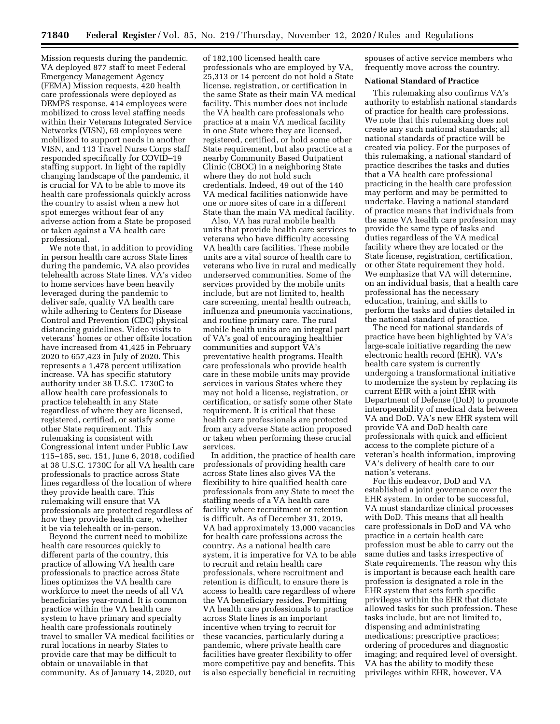Mission requests during the pandemic. VA deployed 877 staff to meet Federal Emergency Management Agency (FEMA) Mission requests, 420 health care professionals were deployed as DEMPS response, 414 employees were mobilized to cross level staffing needs within their Veterans Integrated Service Networks (VISN), 69 employees were mobilized to support needs in another VISN, and 113 Travel Nurse Corps staff responded specifically for COVID–19 staffing support. In light of the rapidly changing landscape of the pandemic, it is crucial for VA to be able to move its health care professionals quickly across the country to assist when a new hot spot emerges without fear of any adverse action from a State be proposed or taken against a VA health care professional.

We note that, in addition to providing in person health care across State lines during the pandemic, VA also provides telehealth across State lines. VA's video to home services have been heavily leveraged during the pandemic to deliver safe, quality VA health care while adhering to Centers for Disease Control and Prevention (CDC) physical distancing guidelines. Video visits to veterans' homes or other offsite location have increased from 41,425 in February 2020 to 657,423 in July of 2020. This represents a 1,478 percent utilization increase. VA has specific statutory authority under 38 U.S.C. 1730C to allow health care professionals to practice telehealth in any State regardless of where they are licensed, registered, certified, or satisfy some other State requirement. This rulemaking is consistent with Congressional intent under Public Law 115–185, sec. 151, June 6, 2018, codified at 38 U.S.C. 1730C for all VA health care professionals to practice across State lines regardless of the location of where they provide health care. This rulemaking will ensure that VA professionals are protected regardless of how they provide health care, whether it be via telehealth or in-person.

Beyond the current need to mobilize health care resources quickly to different parts of the country, this practice of allowing VA health care professionals to practice across State lines optimizes the VA health care workforce to meet the needs of all VA beneficiaries year-round. It is common practice within the VA health care system to have primary and specialty health care professionals routinely travel to smaller VA medical facilities or rural locations in nearby States to provide care that may be difficult to obtain or unavailable in that community. As of January 14, 2020, out

of 182,100 licensed health care professionals who are employed by VA, 25,313 or 14 percent do not hold a State license, registration, or certification in the same State as their main VA medical facility. This number does not include the VA health care professionals who practice at a main VA medical facility in one State where they are licensed, registered, certified, or hold some other State requirement, but also practice at a nearby Community Based Outpatient Clinic (CBOC) in a neighboring State where they do not hold such credentials. Indeed, 49 out of the 140 VA medical facilities nationwide have one or more sites of care in a different State than the main VA medical facility.

Also, VA has rural mobile health units that provide health care services to veterans who have difficulty accessing VA health care facilities. These mobile units are a vital source of health care to veterans who live in rural and medically underserved communities. Some of the services provided by the mobile units include, but are not limited to, health care screening, mental health outreach, influenza and pneumonia vaccinations, and routine primary care. The rural mobile health units are an integral part of VA's goal of encouraging healthier communities and support VA's preventative health programs. Health care professionals who provide health care in these mobile units may provide services in various States where they may not hold a license, registration, or certification, or satisfy some other State requirement. It is critical that these health care professionals are protected from any adverse State action proposed or taken when performing these crucial services.

In addition, the practice of health care professionals of providing health care across State lines also gives VA the flexibility to hire qualified health care professionals from any State to meet the staffing needs of a VA health care facility where recruitment or retention is difficult. As of December 31, 2019, VA had approximately 13,000 vacancies for health care professions across the country. As a national health care system, it is imperative for VA to be able to recruit and retain health care professionals, where recruitment and retention is difficult, to ensure there is access to health care regardless of where the VA beneficiary resides. Permitting VA health care professionals to practice across State lines is an important incentive when trying to recruit for these vacancies, particularly during a pandemic, where private health care facilities have greater flexibility to offer more competitive pay and benefits. This is also especially beneficial in recruiting

spouses of active service members who frequently move across the country.

#### **National Standard of Practice**

This rulemaking also confirms VA's authority to establish national standards of practice for health care professions. We note that this rulemaking does not create any such national standards; all national standards of practice will be created via policy. For the purposes of this rulemaking, a national standard of practice describes the tasks and duties that a VA health care professional practicing in the health care profession may perform and may be permitted to undertake. Having a national standard of practice means that individuals from the same VA health care profession may provide the same type of tasks and duties regardless of the VA medical facility where they are located or the State license, registration, certification, or other State requirement they hold. We emphasize that VA will determine, on an individual basis, that a health care professional has the necessary education, training, and skills to perform the tasks and duties detailed in the national standard of practice.

The need for national standards of practice have been highlighted by VA's large-scale initiative regarding the new electronic health record (EHR). VA's health care system is currently undergoing a transformational initiative to modernize the system by replacing its current EHR with a joint EHR with Department of Defense (DoD) to promote interoperability of medical data between VA and DoD. VA's new EHR system will provide VA and DoD health care professionals with quick and efficient access to the complete picture of a veteran's health information, improving VA's delivery of health care to our nation's veterans.

For this endeavor, DoD and VA established a joint governance over the EHR system. In order to be successful, VA must standardize clinical processes with DoD. This means that all health care professionals in DoD and VA who practice in a certain health care profession must be able to carry out the same duties and tasks irrespective of State requirements. The reason why this is important is because each health care profession is designated a role in the EHR system that sets forth specific privileges within the EHR that dictate allowed tasks for such profession. These tasks include, but are not limited to, dispensing and administrating medications; prescriptive practices; ordering of procedures and diagnostic imaging; and required level of oversight. VA has the ability to modify these privileges within EHR, however, VA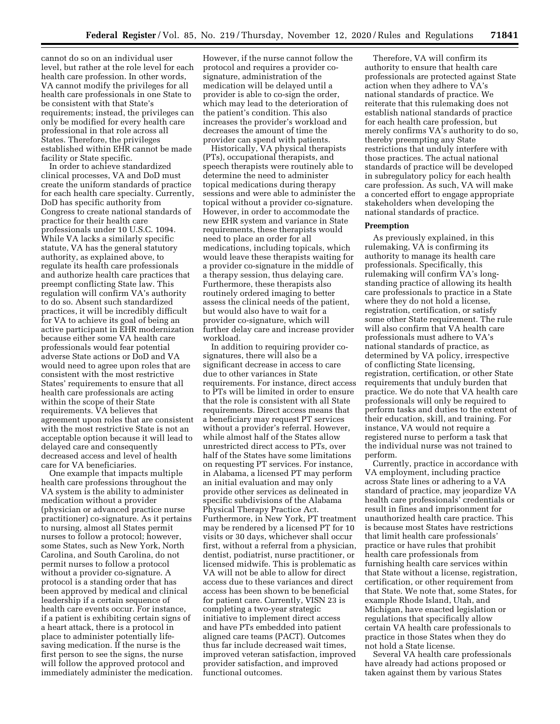cannot do so on an individual user level, but rather at the role level for each health care profession. In other words, VA cannot modify the privileges for all health care professionals in one State to be consistent with that State's requirements; instead, the privileges can only be modified for every health care professional in that role across all States. Therefore, the privileges established within EHR cannot be made facility or State specific.

In order to achieve standardized clinical processes, VA and DoD must create the uniform standards of practice for each health care specialty. Currently, DoD has specific authority from Congress to create national standards of practice for their health care professionals under 10 U.S.C. 1094. While VA lacks a similarly specific statute, VA has the general statutory authority, as explained above, to regulate its health care professionals and authorize health care practices that preempt conflicting State law. This regulation will confirm VA's authority to do so. Absent such standardized practices, it will be incredibly difficult for VA to achieve its goal of being an active participant in EHR modernization because either some VA health care professionals would fear potential adverse State actions or DoD and VA would need to agree upon roles that are consistent with the most restrictive States' requirements to ensure that all health care professionals are acting within the scope of their State requirements. VA believes that agreement upon roles that are consistent with the most restrictive State is not an acceptable option because it will lead to delayed care and consequently decreased access and level of health care for VA beneficiaries.

One example that impacts multiple health care professions throughout the VA system is the ability to administer medication without a provider (physician or advanced practice nurse practitioner) co-signature. As it pertains to nursing, almost all States permit nurses to follow a protocol; however, some States, such as New York, North Carolina, and South Carolina, do not permit nurses to follow a protocol without a provider co-signature. A protocol is a standing order that has been approved by medical and clinical leadership if a certain sequence of health care events occur. For instance, if a patient is exhibiting certain signs of a heart attack, there is a protocol in place to administer potentially lifesaving medication. If the nurse is the first person to see the signs, the nurse will follow the approved protocol and immediately administer the medication.

However, if the nurse cannot follow the protocol and requires a provider cosignature, administration of the medication will be delayed until a provider is able to co-sign the order, which may lead to the deterioration of the patient's condition. This also increases the provider's workload and decreases the amount of time the provider can spend with patients.

Historically, VA physical therapists (PTs), occupational therapists, and speech therapists were routinely able to determine the need to administer topical medications during therapy sessions and were able to administer the topical without a provider co-signature. However, in order to accommodate the new EHR system and variance in State requirements, these therapists would need to place an order for all medications, including topicals, which would leave these therapists waiting for a provider co-signature in the middle of a therapy session, thus delaying care. Furthermore, these therapists also routinely ordered imaging to better assess the clinical needs of the patient, but would also have to wait for a provider co-signature, which will further delay care and increase provider workload.

In addition to requiring provider cosignatures, there will also be a significant decrease in access to care due to other variances in State requirements. For instance, direct access to PTs will be limited in order to ensure that the role is consistent with all State requirements. Direct access means that a beneficiary may request PT services without a provider's referral. However, while almost half of the States allow unrestricted direct access to PTs, over half of the States have some limitations on requesting PT services. For instance, in Alabama, a licensed PT may perform an initial evaluation and may only provide other services as delineated in specific subdivisions of the Alabama Physical Therapy Practice Act. Furthermore, in New York, PT treatment may be rendered by a licensed PT for 10 visits or 30 days, whichever shall occur first, without a referral from a physician, dentist, podiatrist, nurse practitioner, or licensed midwife. This is problematic as VA will not be able to allow for direct access due to these variances and direct access has been shown to be beneficial for patient care. Currently, VISN 23 is completing a two-year strategic initiative to implement direct access and have PTs embedded into patient aligned care teams (PACT). Outcomes thus far include decreased wait times, improved veteran satisfaction, improved provider satisfaction, and improved functional outcomes.

Therefore, VA will confirm its authority to ensure that health care professionals are protected against State action when they adhere to VA's national standards of practice. We reiterate that this rulemaking does not establish national standards of practice for each health care profession, but merely confirms VA's authority to do so, thereby preempting any State restrictions that unduly interfere with those practices. The actual national standards of practice will be developed in subregulatory policy for each health care profession. As such, VA will make a concerted effort to engage appropriate stakeholders when developing the national standards of practice.

### **Preemption**

As previously explained, in this rulemaking, VA is confirming its authority to manage its health care professionals. Specifically, this rulemaking will confirm VA's longstanding practice of allowing its health care professionals to practice in a State where they do not hold a license, registration, certification, or satisfy some other State requirement. The rule will also confirm that VA health care professionals must adhere to VA's national standards of practice, as determined by VA policy, irrespective of conflicting State licensing, registration, certification, or other State requirements that unduly burden that practice. We do note that VA health care professionals will only be required to perform tasks and duties to the extent of their education, skill, and training. For instance, VA would not require a registered nurse to perform a task that the individual nurse was not trained to perform.

Currently, practice in accordance with VA employment, including practice across State lines or adhering to a VA standard of practice, may jeopardize VA health care professionals' credentials or result in fines and imprisonment for unauthorized health care practice. This is because most States have restrictions that limit health care professionals' practice or have rules that prohibit health care professionals from furnishing health care services within that State without a license, registration, certification, or other requirement from that State. We note that, some States, for example Rhode Island, Utah, and Michigan, have enacted legislation or regulations that specifically allow certain VA health care professionals to practice in those States when they do not hold a State license.

Several VA health care professionals have already had actions proposed or taken against them by various States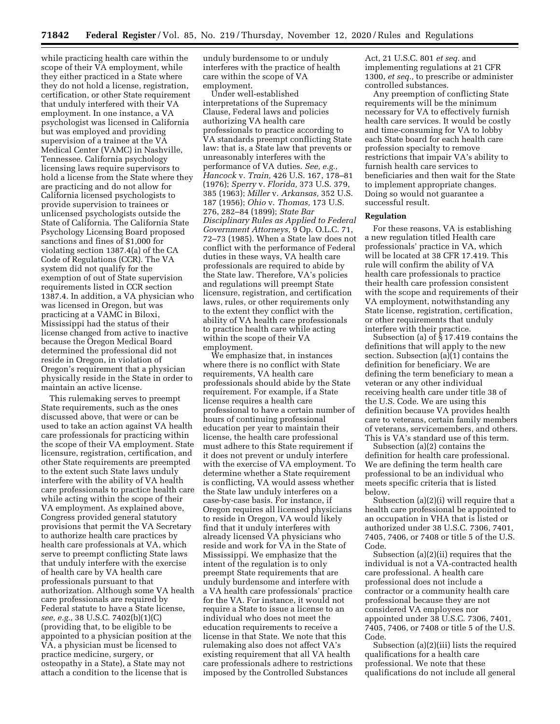while practicing health care within the scope of their VA employment, while they either practiced in a State where they do not hold a license, registration, certification, or other State requirement that unduly interfered with their VA employment. In one instance, a VA psychologist was licensed in California but was employed and providing supervision of a trainee at the VA Medical Center (VAMC) in Nashville, Tennessee. California psychology licensing laws require supervisors to hold a license from the State where they are practicing and do not allow for California licensed psychologists to provide supervision to trainees or unlicensed psychologists outside the State of California. The California State Psychology Licensing Board proposed sanctions and fines of \$1,000 for violating section 1387.4(a) of the CA Code of Regulations (CCR). The VA system did not qualify for the exemption of out of State supervision requirements listed in CCR section 1387.4. In addition, a VA physician who was licensed in Oregon, but was practicing at a VAMC in Biloxi, Mississippi had the status of their license changed from active to inactive because the Oregon Medical Board determined the professional did not reside in Oregon, in violation of Oregon's requirement that a physician physically reside in the State in order to maintain an active license.

This rulemaking serves to preempt State requirements, such as the ones discussed above, that were or can be used to take an action against VA health care professionals for practicing within the scope of their VA employment. State licensure, registration, certification, and other State requirements are preempted to the extent such State laws unduly interfere with the ability of VA health care professionals to practice health care while acting within the scope of their VA employment. As explained above, Congress provided general statutory provisions that permit the VA Secretary to authorize health care practices by health care professionals at VA, which serve to preempt conflicting State laws that unduly interfere with the exercise of health care by VA health care professionals pursuant to that authorization. Although some VA health care professionals are required by Federal statute to have a State license, *see, e.g.,* 38 U.S.C. 7402(b)(1)(C) (providing that, to be eligible to be appointed to a physician position at the VA, a physician must be licensed to practice medicine, surgery, or osteopathy in a State), a State may not attach a condition to the license that is

unduly burdensome to or unduly interferes with the practice of health care within the scope of VA employment.

Under well-established interpretations of the Supremacy Clause, Federal laws and policies authorizing VA health care professionals to practice according to VA standards preempt conflicting State law: that is, a State law that prevents or unreasonably interferes with the performance of VA duties. *See, e.g., Hancock* v. *Train,* 426 U.S. 167, 178–81 (1976); *Sperry* v. *Florida,* 373 U.S. 379, 385 (1963); *Miller* v. *Arkansas,* 352 U.S. 187 (1956); *Ohio* v. *Thomas,* 173 U.S. 276, 282–84 (1899); *State Bar Disciplinary Rules as Applied to Federal Government Attorneys,* 9 Op. O.L.C. 71, 72–73 (1985). When a State law does not conflict with the performance of Federal duties in these ways, VA health care professionals are required to abide by the State law. Therefore, VA's policies and regulations will preempt State licensure, registration, and certification laws, rules, or other requirements only to the extent they conflict with the ability of VA health care professionals to practice health care while acting within the scope of their VA employment.

We emphasize that, in instances where there is no conflict with State requirements, VA health care professionals should abide by the State requirement. For example, if a State license requires a health care professional to have a certain number of hours of continuing professional education per year to maintain their license, the health care professional must adhere to this State requirement if it does not prevent or unduly interfere with the exercise of VA employment. To determine whether a State requirement is conflicting, VA would assess whether the State law unduly interferes on a case-by-case basis. For instance, if Oregon requires all licensed physicians to reside in Oregon, VA would likely find that it unduly interferes with already licensed VA physicians who reside and work for VA in the State of Mississippi. We emphasize that the intent of the regulation is to only preempt State requirements that are unduly burdensome and interfere with a VA health care professionals' practice for the VA. For instance, it would not require a State to issue a license to an individual who does not meet the education requirements to receive a license in that State. We note that this rulemaking also does not affect VA's existing requirement that all VA health care professionals adhere to restrictions imposed by the Controlled Substances

Act, 21 U.S.C. 801 *et seq.* and implementing regulations at 21 CFR 1300, *et seq.,* to prescribe or administer controlled substances.

Any preemption of conflicting State requirements will be the minimum necessary for VA to effectively furnish health care services. It would be costly and time-consuming for VA to lobby each State board for each health care profession specialty to remove restrictions that impair VA's ability to furnish health care services to beneficiaries and then wait for the State to implement appropriate changes. Doing so would not guarantee a successful result.

### **Regulation**

For these reasons, VA is establishing a new regulation titled Health care professionals' practice in VA, which will be located at 38 CFR 17.419. This rule will confirm the ability of VA health care professionals to practice their health care profession consistent with the scope and requirements of their VA employment, notwithstanding any State license, registration, certification, or other requirements that unduly interfere with their practice.

Subsection (a) of § 17.419 contains the definitions that will apply to the new section. Subsection (a)(1) contains the definition for beneficiary. We are defining the term beneficiary to mean a veteran or any other individual receiving health care under title 38 of the U.S. Code. We are using this definition because VA provides health care to veterans, certain family members of veterans, servicemembers, and others. This is VA's standard use of this term.

Subsection (a)(2) contains the definition for health care professional. We are defining the term health care professional to be an individual who meets specific criteria that is listed below.

Subsection (a)(2)(i) will require that a health care professional be appointed to an occupation in VHA that is listed or authorized under 38 U.S.C. 7306, 7401, 7405, 7406, or 7408 or title 5 of the U.S. Code.

Subsection (a)(2)(ii) requires that the individual is not a VA-contracted health care professional. A health care professional does not include a contractor or a community health care professional because they are not considered VA employees nor appointed under 38 U.S.C. 7306, 7401, 7405, 7406, or 7408 or title 5 of the U.S. Code.

Subsection (a)(2)(iii) lists the required qualifications for a health care professional. We note that these qualifications do not include all general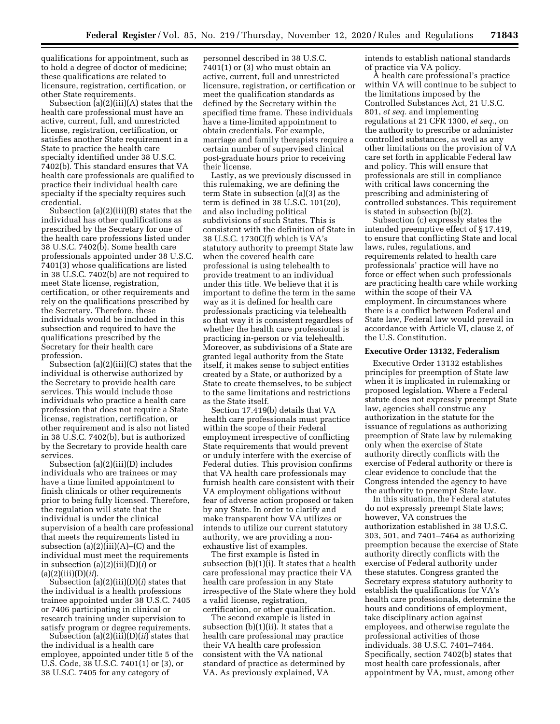qualifications for appointment, such as to hold a degree of doctor of medicine; these qualifications are related to licensure, registration, certification, or other State requirements.

Subsection (a)(2)(iii)(A) states that the health care professional must have an active, current, full, and unrestricted license, registration, certification, or satisfies another State requirement in a State to practice the health care specialty identified under 38 U.S.C. 7402(b). This standard ensures that VA health care professionals are qualified to practice their individual health care specialty if the specialty requires such credential.

Subsection (a)(2)(iii)(B) states that the individual has other qualifications as prescribed by the Secretary for one of the health care professions listed under 38 U.S.C. 7402(b). Some health care professionals appointed under 38 U.S.C. 7401(3) whose qualifications are listed in 38 U.S.C. 7402(b) are not required to meet State license, registration, certification, or other requirements and rely on the qualifications prescribed by the Secretary. Therefore, these individuals would be included in this subsection and required to have the qualifications prescribed by the Secretary for their health care profession.

Subsection (a)(2)(iii)(C) states that the individual is otherwise authorized by the Secretary to provide health care services. This would include those individuals who practice a health care profession that does not require a State license, registration, certification, or other requirement and is also not listed in 38 U.S.C. 7402(b), but is authorized by the Secretary to provide health care services.

Subsection (a)(2)(iii)(D) includes individuals who are trainees or may have a time limited appointment to finish clinicals or other requirements prior to being fully licensed. Therefore, the regulation will state that the individual is under the clinical supervision of a health care professional that meets the requirements listed in subsection  $(a)(2)(iii)(A)$ – $(C)$  and the individual must meet the requirements in subsection (a)(2)(iii)(D)(*i*) or  $(a)(2)(iii)(D)(ii)$ 

Subsection (a)(2)(iii)(D)(*i*) states that the individual is a health professions trainee appointed under 38 U.S.C. 7405 or 7406 participating in clinical or research training under supervision to satisfy program or degree requirements.

Subsection (a)(2)(iii)(D)(*ii*) states that the individual is a health care employee, appointed under title 5 of the U.S. Code, 38 U.S.C. 7401(1) or (3), or 38 U.S.C. 7405 for any category of

personnel described in 38 U.S.C. 7401(1) or (3) who must obtain an active, current, full and unrestricted licensure, registration, or certification or meet the qualification standards as defined by the Secretary within the specified time frame. These individuals have a time-limited appointment to obtain credentials. For example, marriage and family therapists require a certain number of supervised clinical post-graduate hours prior to receiving their license.

Lastly, as we previously discussed in this rulemaking, we are defining the term State in subsection (a)(3) as the term is defined in 38 U.S.C. 101(20), and also including political subdivisions of such States. This is consistent with the definition of State in 38 U.S.C. 1730C(f) which is VA's statutory authority to preempt State law when the covered health care professional is using telehealth to provide treatment to an individual under this title. We believe that it is important to define the term in the same way as it is defined for health care professionals practicing via telehealth so that way it is consistent regardless of whether the health care professional is practicing in-person or via telehealth. Moreover, as subdivisions of a State are granted legal authority from the State itself, it makes sense to subject entities created by a State, or authorized by a State to create themselves, to be subject to the same limitations and restrictions as the State itself.

Section 17.419(b) details that VA health care professionals must practice within the scope of their Federal employment irrespective of conflicting State requirements that would prevent or unduly interfere with the exercise of Federal duties. This provision confirms that VA health care professionals may furnish health care consistent with their VA employment obligations without fear of adverse action proposed or taken by any State. In order to clarify and make transparent how VA utilizes or intends to utilize our current statutory authority, we are providing a nonexhaustive list of examples.

The first example is listed in subsection (b)(1)(i). It states that a health care professional may practice their VA health care profession in any State irrespective of the State where they hold a valid license, registration, certification, or other qualification.

The second example is listed in subsection (b)(1)(ii). It states that a health care professional may practice their VA health care profession consistent with the VA national standard of practice as determined by VA. As previously explained, VA

intends to establish national standards of practice via VA policy.

A health care professional's practice within VA will continue to be subject to the limitations imposed by the Controlled Substances Act, 21 U.S.C. 801, *et seq.* and implementing regulations at 21 CFR 1300, *et seq.,* on the authority to prescribe or administer controlled substances, as well as any other limitations on the provision of VA care set forth in applicable Federal law and policy. This will ensure that professionals are still in compliance with critical laws concerning the prescribing and administering of controlled substances. This requirement is stated in subsection (b)(2).

Subsection (c) expressly states the intended preemptive effect of § 17.419, to ensure that conflicting State and local laws, rules, regulations, and requirements related to health care professionals' practice will have no force or effect when such professionals are practicing health care while working within the scope of their VA employment. In circumstances where there is a conflict between Federal and State law, Federal law would prevail in accordance with Article VI, clause 2, of the U.S. Constitution.

### **Executive Order 13132, Federalism**

Executive Order 13132 establishes principles for preemption of State law when it is implicated in rulemaking or proposed legislation. Where a Federal statute does not expressly preempt State law, agencies shall construe any authorization in the statute for the issuance of regulations as authorizing preemption of State law by rulemaking only when the exercise of State authority directly conflicts with the exercise of Federal authority or there is clear evidence to conclude that the Congress intended the agency to have the authority to preempt State law.

In this situation, the Federal statutes do not expressly preempt State laws; however, VA construes the authorization established in 38 U.S.C. 303, 501, and 7401–7464 as authorizing preemption because the exercise of State authority directly conflicts with the exercise of Federal authority under these statutes. Congress granted the Secretary express statutory authority to establish the qualifications for VA's health care professionals, determine the hours and conditions of employment, take disciplinary action against employees, and otherwise regulate the professional activities of those individuals. 38 U.S.C. 7401–7464. Specifically, section 7402(b) states that most health care professionals, after appointment by VA, must, among other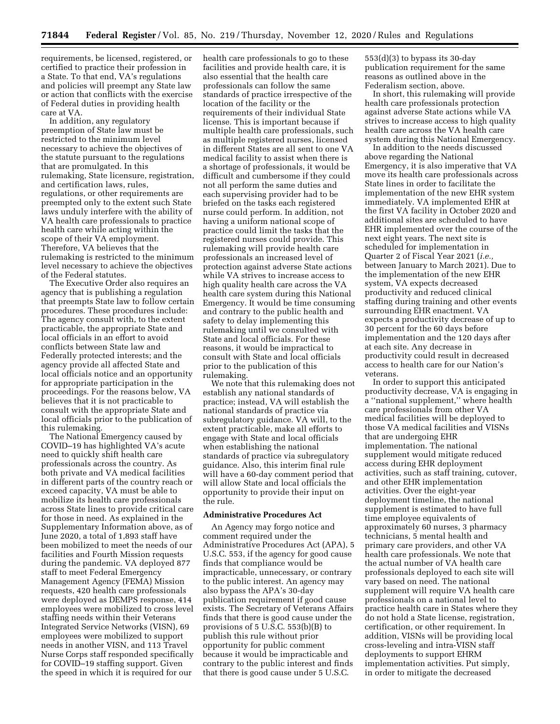requirements, be licensed, registered, or certified to practice their profession in a State. To that end, VA's regulations and policies will preempt any State law or action that conflicts with the exercise of Federal duties in providing health care at VA.

In addition, any regulatory preemption of State law must be restricted to the minimum level necessary to achieve the objectives of the statute pursuant to the regulations that are promulgated. In this rulemaking, State licensure, registration, and certification laws, rules, regulations, or other requirements are preempted only to the extent such State laws unduly interfere with the ability of VA health care professionals to practice health care while acting within the scope of their VA employment. Therefore, VA believes that the rulemaking is restricted to the minimum level necessary to achieve the objectives of the Federal statutes.

The Executive Order also requires an agency that is publishing a regulation that preempts State law to follow certain procedures. These procedures include: The agency consult with, to the extent practicable, the appropriate State and local officials in an effort to avoid conflicts between State law and Federally protected interests; and the agency provide all affected State and local officials notice and an opportunity for appropriate participation in the proceedings. For the reasons below, VA believes that it is not practicable to consult with the appropriate State and local officials prior to the publication of this rulemaking.

The National Emergency caused by COVID–19 has highlighted VA's acute need to quickly shift health care professionals across the country. As both private and VA medical facilities in different parts of the country reach or exceed capacity, VA must be able to mobilize its health care professionals across State lines to provide critical care for those in need. As explained in the Supplementary Information above, as of June 2020, a total of 1,893 staff have been mobilized to meet the needs of our facilities and Fourth Mission requests during the pandemic. VA deployed 877 staff to meet Federal Emergency Management Agency (FEMA) Mission requests, 420 health care professionals were deployed as DEMPS response, 414 employees were mobilized to cross level staffing needs within their Veterans Integrated Service Networks (VISN), 69 employees were mobilized to support needs in another VISN, and 113 Travel Nurse Corps staff responded specifically for COVID–19 staffing support. Given the speed in which it is required for our

health care professionals to go to these facilities and provide health care, it is also essential that the health care professionals can follow the same standards of practice irrespective of the location of the facility or the requirements of their individual State license. This is important because if multiple health care professionals, such as multiple registered nurses, licensed in different States are all sent to one VA medical facility to assist when there is a shortage of professionals, it would be difficult and cumbersome if they could not all perform the same duties and each supervising provider had to be briefed on the tasks each registered nurse could perform. In addition, not having a uniform national scope of practice could limit the tasks that the registered nurses could provide. This rulemaking will provide health care professionals an increased level of protection against adverse State actions while VA strives to increase access to high quality health care across the VA health care system during this National Emergency. It would be time consuming and contrary to the public health and safety to delay implementing this rulemaking until we consulted with State and local officials. For these reasons, it would be impractical to consult with State and local officials prior to the publication of this rulemaking.

We note that this rulemaking does not establish any national standards of practice; instead, VA will establish the national standards of practice via subregulatory guidance. VA will, to the extent practicable, make all efforts to engage with State and local officials when establishing the national standards of practice via subregulatory guidance. Also, this interim final rule will have a 60-day comment period that will allow State and local officials the opportunity to provide their input on the rule.

#### **Administrative Procedures Act**

An Agency may forgo notice and comment required under the Administrative Procedures Act (APA), 5 U.S.C. 553, if the agency for good cause finds that compliance would be impracticable, unnecessary, or contrary to the public interest. An agency may also bypass the APA's 30-day publication requirement if good cause exists. The Secretary of Veterans Affairs finds that there is good cause under the provisions of  $5 \text{ U}.\overline{S}.\overline{C}.\overline{5}53(b)(B)$  to publish this rule without prior opportunity for public comment because it would be impracticable and contrary to the public interest and finds that there is good cause under 5 U.S.C.

553(d)(3) to bypass its 30-day publication requirement for the same reasons as outlined above in the Federalism section, above.

In short, this rulemaking will provide health care professionals protection against adverse State actions while VA strives to increase access to high quality health care across the VA health care system during this National Emergency.

In addition to the needs discussed above regarding the National Emergency, it is also imperative that VA move its health care professionals across State lines in order to facilitate the implementation of the new EHR system immediately. VA implemented EHR at the first VA facility in October 2020 and additional sites are scheduled to have EHR implemented over the course of the next eight years. The next site is scheduled for implementation in Quarter 2 of Fiscal Year 2021 (*i.e.,*  between January to March 2021). Due to the implementation of the new EHR system, VA expects decreased productivity and reduced clinical staffing during training and other events surrounding EHR enactment. VA expects a productivity decrease of up to 30 percent for the 60 days before implementation and the 120 days after at each site. Any decrease in productivity could result in decreased access to health care for our Nation's veterans.

In order to support this anticipated productivity decrease, VA is engaging in a ''national supplement,'' where health care professionals from other VA medical facilities will be deployed to those VA medical facilities and VISNs that are undergoing EHR implementation. The national supplement would mitigate reduced access during EHR deployment activities, such as staff training, cutover, and other EHR implementation activities. Over the eight-year deployment timeline, the national supplement is estimated to have full time employee equivalents of approximately 60 nurses, 3 pharmacy technicians, 5 mental health and primary care providers, and other VA health care professionals. We note that the actual number of VA health care professionals deployed to each site will vary based on need. The national supplement will require VA health care professionals on a national level to practice health care in States where they do not hold a State license, registration, certification, or other requirement. In addition, VISNs will be providing local cross-leveling and intra-VISN staff deployments to support EHRM implementation activities. Put simply, in order to mitigate the decreased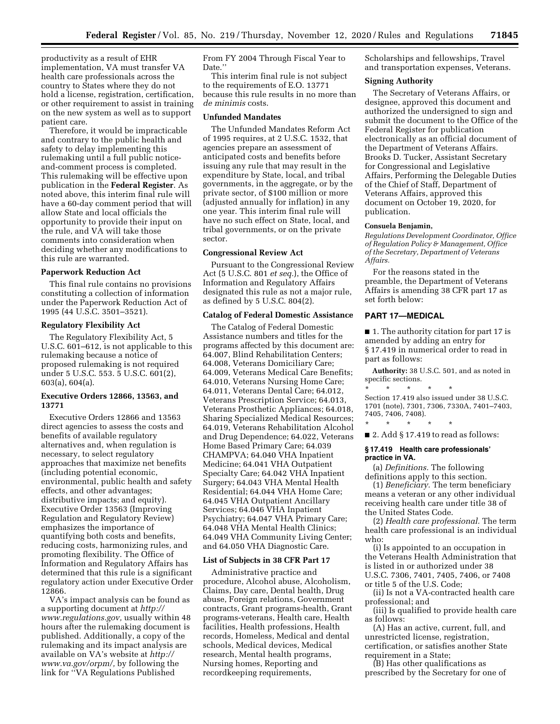productivity as a result of EHR implementation, VA must transfer VA health care professionals across the country to States where they do not hold a license, registration, certification, or other requirement to assist in training on the new system as well as to support patient care.

Therefore, it would be impracticable and contrary to the public health and safety to delay implementing this rulemaking until a full public noticeand-comment process is completed. This rulemaking will be effective upon publication in the **Federal Register**. As noted above, this interim final rule will have a 60-day comment period that will allow State and local officials the opportunity to provide their input on the rule, and VA will take those comments into consideration when deciding whether any modifications to this rule are warranted.

### **Paperwork Reduction Act**

This final rule contains no provisions constituting a collection of information under the Paperwork Reduction Act of 1995 (44 U.S.C. 3501–3521).

### **Regulatory Flexibility Act**

The Regulatory Flexibility Act, 5 U.S.C. 601–612, is not applicable to this rulemaking because a notice of proposed rulemaking is not required under 5 U.S.C. 553. 5 U.S.C. 601(2), 603(a), 604(a).

# **Executive Orders 12866, 13563, and 13771**

Executive Orders 12866 and 13563 direct agencies to assess the costs and benefits of available regulatory alternatives and, when regulation is necessary, to select regulatory approaches that maximize net benefits (including potential economic, environmental, public health and safety effects, and other advantages; distributive impacts; and equity). Executive Order 13563 (Improving Regulation and Regulatory Review) emphasizes the importance of quantifying both costs and benefits, reducing costs, harmonizing rules, and promoting flexibility. The Office of Information and Regulatory Affairs has determined that this rule is a significant regulatory action under Executive Order 12866.

VA's impact analysis can be found as a supporting document at *[http://](http://www.regulations.gov)  [www.regulations.gov,](http://www.regulations.gov)* usually within 48 hours after the rulemaking document is published. Additionally, a copy of the rulemaking and its impact analysis are available on VA's website at *[http://](http://www.va.gov/orpm/) [www.va.gov/orpm/,](http://www.va.gov/orpm/)* by following the link for ''VA Regulations Published

From FY 2004 Through Fiscal Year to Date.''

This interim final rule is not subject to the requirements of E.O. 13771 because this rule results in no more than *de minimis* costs.

#### **Unfunded Mandates**

The Unfunded Mandates Reform Act of 1995 requires, at 2 U.S.C. 1532, that agencies prepare an assessment of anticipated costs and benefits before issuing any rule that may result in the expenditure by State, local, and tribal governments, in the aggregate, or by the private sector, of \$100 million or more (adjusted annually for inflation) in any one year. This interim final rule will have no such effect on State, local, and tribal governments, or on the private sector.

### **Congressional Review Act**

Pursuant to the Congressional Review Act (5 U.S.C. 801 *et seq.*), the Office of Information and Regulatory Affairs designated this rule as not a major rule, as defined by 5 U.S.C. 804(2).

# **Catalog of Federal Domestic Assistance**

The Catalog of Federal Domestic Assistance numbers and titles for the programs affected by this document are: 64.007, Blind Rehabilitation Centers; 64.008, Veterans Domiciliary Care; 64.009, Veterans Medical Care Benefits; 64.010, Veterans Nursing Home Care; 64.011, Veterans Dental Care; 64.012, Veterans Prescription Service; 64.013, Veterans Prosthetic Appliances; 64.018, Sharing Specialized Medical Resources; 64.019, Veterans Rehabilitation Alcohol and Drug Dependence; 64.022, Veterans Home Based Primary Care; 64.039 CHAMPVA; 64.040 VHA Inpatient Medicine; 64.041 VHA Outpatient Specialty Care; 64.042 VHA Inpatient Surgery; 64.043 VHA Mental Health Residential; 64.044 VHA Home Care; 64.045 VHA Outpatient Ancillary Services; 64.046 VHA Inpatient Psychiatry; 64.047 VHA Primary Care; 64.048 VHA Mental Health Clinics; 64.049 VHA Community Living Center; and 64.050 VHA Diagnostic Care.

#### **List of Subjects in 38 CFR Part 17**

Administrative practice and procedure, Alcohol abuse, Alcoholism, Claims, Day care, Dental health, Drug abuse, Foreign relations, Government contracts, Grant programs-health, Grant programs-veterans, Health care, Health facilities, Health professions, Health records, Homeless, Medical and dental schools, Medical devices, Medical research, Mental health programs, Nursing homes, Reporting and recordkeeping requirements,

Scholarships and fellowships, Travel and transportation expenses, Veterans.

#### **Signing Authority**

The Secretary of Veterans Affairs, or designee, approved this document and authorized the undersigned to sign and submit the document to the Office of the Federal Register for publication electronically as an official document of the Department of Veterans Affairs. Brooks D. Tucker, Assistant Secretary for Congressional and Legislative Affairs, Performing the Delegable Duties of the Chief of Staff, Department of Veterans Affairs, approved this document on October 19, 2020, for publication.

#### **Consuela Benjamin,**

*Regulations Development Coordinator, Office of Regulation Policy & Management, Office of the Secretary, Department of Veterans Affairs.* 

For the reasons stated in the preamble, the Department of Veterans Affairs is amending 38 CFR part 17 as set forth below:

# **PART 17—MEDICAL**

■ 1. The authority citation for part 17 is amended by adding an entry for § 17.419 in numerical order to read in part as follows:

**Authority:** 38 U.S.C. 501, and as noted in specific sections.

\* \* \* \* \* Section 17.419 also issued under 38 U.S.C. 1701 (note), 7301, 7306, 7330A, 7401–7403, 7405, 7406, 7408).

■ 2. Add § 17.419 to read as follows:

### **§ 17.419 Health care professionals' practice in VA.**

\* \* \* \* \*

(a) *Definitions.* The following definitions apply to this section.

(1) *Beneficiary.* The term beneficiary means a veteran or any other individual receiving health care under title 38 of the United States Code.

(2) *Health care professional.* The term health care professional is an individual who:

(i) Is appointed to an occupation in the Veterans Health Administration that is listed in or authorized under 38 U.S.C. 7306, 7401, 7405, 7406, or 7408 or title 5 of the U.S. Code;

(ii) Is not a VA-contracted health care professional; and

(iii) Is qualified to provide health care as follows:

(A) Has an active, current, full, and unrestricted license, registration, certification, or satisfies another State requirement in a State;

(B) Has other qualifications as prescribed by the Secretary for one of